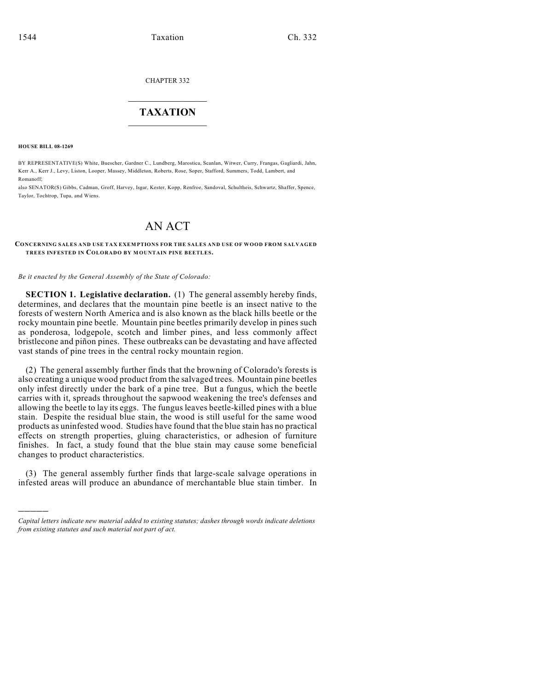CHAPTER 332

## $\mathcal{L}_\text{max}$  . The set of the set of the set of the set of the set of the set of the set of the set of the set of the set of the set of the set of the set of the set of the set of the set of the set of the set of the set **TAXATION**  $\_$

**HOUSE BILL 08-1269**

)))))

BY REPRESENTATIVE(S) White, Buescher, Gardner C., Lundberg, Marostica, Scanlan, Witwer, Curry, Frangas, Gagliardi, Jahn, Kerr A., Kerr J., Levy, Liston, Looper, Massey, Middleton, Roberts, Rose, Soper, Stafford, Summers, Todd, Lambert, and Romanoff;

also SENATOR(S) Gibbs, Cadman, Groff, Harvey, Isgar, Kester, Kopp, Renfroe, Sandoval, Schultheis, Schwartz, Shaffer, Spence, Taylor, Tochtrop, Tupa, and Wiens.

## AN ACT

## **CONCERNING SALES AND USE TAX EXEMPTIONS FOR THE SALES AND USE OF WOOD FROM SALVAGED TREES INFESTED IN COLORADO BY M OUNTAIN PINE BEETLES.**

*Be it enacted by the General Assembly of the State of Colorado:*

**SECTION 1. Legislative declaration.** (1) The general assembly hereby finds, determines, and declares that the mountain pine beetle is an insect native to the forests of western North America and is also known as the black hills beetle or the rocky mountain pine beetle. Mountain pine beetles primarily develop in pines such as ponderosa, lodgepole, scotch and limber pines, and less commonly affect bristlecone and piñon pines. These outbreaks can be devastating and have affected vast stands of pine trees in the central rocky mountain region.

(2) The general assembly further finds that the browning of Colorado's forests is also creating a unique wood product from the salvaged trees. Mountain pine beetles only infest directly under the bark of a pine tree. But a fungus, which the beetle carries with it, spreads throughout the sapwood weakening the tree's defenses and allowing the beetle to lay its eggs. The fungus leaves beetle-killed pines with a blue stain. Despite the residual blue stain, the wood is still useful for the same wood products as uninfested wood. Studies have found that the blue stain has no practical effects on strength properties, gluing characteristics, or adhesion of furniture finishes. In fact, a study found that the blue stain may cause some beneficial changes to product characteristics.

(3) The general assembly further finds that large-scale salvage operations in infested areas will produce an abundance of merchantable blue stain timber. In

*Capital letters indicate new material added to existing statutes; dashes through words indicate deletions from existing statutes and such material not part of act.*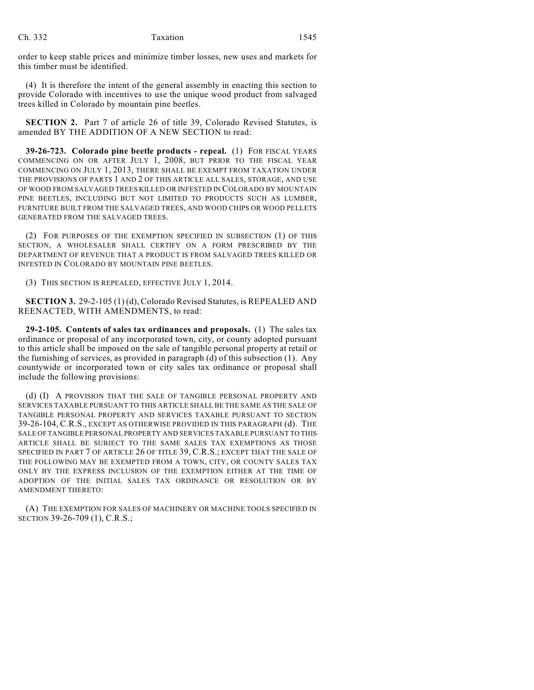order to keep stable prices and minimize timber losses, new uses and markets for this timber must be identified.

(4) It is therefore the intent of the general assembly in enacting this section to provide Colorado with incentives to use the unique wood product from salvaged trees killed in Colorado by mountain pine beetles.

**SECTION 2.** Part 7 of article 26 of title 39, Colorado Revised Statutes, is amended BY THE ADDITION OF A NEW SECTION to read:

**39-26-723. Colorado pine beetle products - repeal.** (1) FOR FISCAL YEARS COMMENCING ON OR AFTER JULY 1, 2008, BUT PRIOR TO THE FISCAL YEAR COMMENCING ON JULY 1, 2013, THERE SHALL BE EXEMPT FROM TAXATION UNDER THE PROVISIONS OF PARTS 1 AND 2 OF THIS ARTICLE ALL SALES, STORAGE, AND USE OF WOOD FROM SALVAGED TREES KILLED OR INFESTED IN COLORADO BY MOUNTAIN PINE BEETLES, INCLUDING BUT NOT LIMITED TO PRODUCTS SUCH AS LUMBER, FURNITURE BUILT FROM THE SALVAGED TREES, AND WOOD CHIPS OR WOOD PELLETS GENERATED FROM THE SALVAGED TREES.

(2) FOR PURPOSES OF THE EXEMPTION SPECIFIED IN SUBSECTION (1) OF THIS SECTION, A WHOLESALER SHALL CERTIFY ON A FORM PRESCRIBED BY THE DEPARTMENT OF REVENUE THAT A PRODUCT IS FROM SALVAGED TREES KILLED OR INFESTED IN COLORADO BY MOUNTAIN PINE BEETLES.

(3) THIS SECTION IS REPEALED, EFFECTIVE JULY 1, 2014.

**SECTION 3.** 29-2-105 (1) (d), Colorado Revised Statutes, is REPEALED AND REENACTED, WITH AMENDMENTS, to read:

**29-2-105. Contents of sales tax ordinances and proposals.** (1) The sales tax ordinance or proposal of any incorporated town, city, or county adopted pursuant to this article shall be imposed on the sale of tangible personal property at retail or the furnishing of services, as provided in paragraph (d) of this subsection (1). Any countywide or incorporated town or city sales tax ordinance or proposal shall include the following provisions:

(d) (I) A PROVISION THAT THE SALE OF TANGIBLE PERSONAL PROPERTY AND SERVICES TAXABLE PURSUANT TO THIS ARTICLE SHALL BE THE SAME AS THE SALE OF TANGIBLE PERSONAL PROPERTY AND SERVICES TAXABLE PURSUANT TO SECTION 39-26-104, C.R.S., EXCEPT AS OTHERWISE PROVIDED IN THIS PARAGRAPH (d). THE SALE OF TANGIBLE PERSONAL PROPERTY AND SERVICES TAXABLE PURSUANT TO THIS ARTICLE SHALL BE SUBJECT TO THE SAME SALES TAX EXEMPTIONS AS THOSE SPECIFIED IN PART 7 OF ARTICLE 26 OF TITLE 39, C.R.S.; EXCEPT THAT THE SALE OF THE FOLLOWING MAY BE EXEMPTED FROM A TOWN, CITY, OR COUNTY SALES TAX ONLY BY THE EXPRESS INCLUSION OF THE EXEMPTION EITHER AT THE TIME OF ADOPTION OF THE INITIAL SALES TAX ORDINANCE OR RESOLUTION OR BY AMENDMENT THERETO:

(A) THE EXEMPTION FOR SALES OF MACHINERY OR MACHINE TOOLS SPECIFIED IN SECTION 39-26-709 (1), C.R.S.;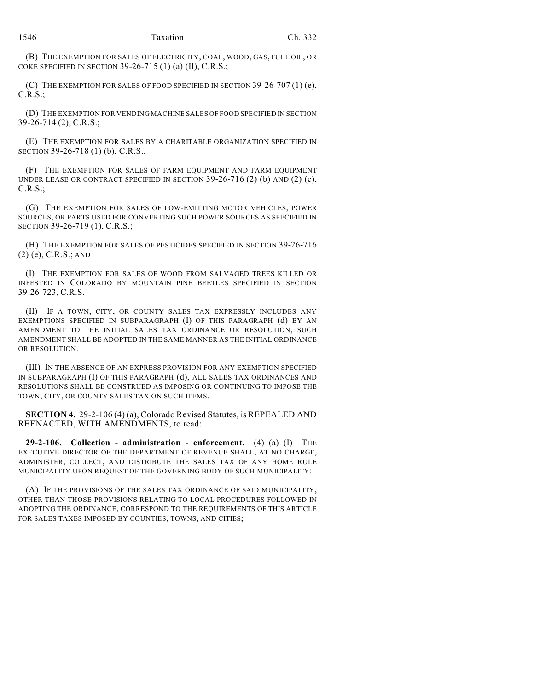(B) THE EXEMPTION FOR SALES OF ELECTRICITY, COAL, WOOD, GAS, FUEL OIL, OR COKE SPECIFIED IN SECTION 39-26-715 (1) (a) (II), C.R.S.;

(C) THE EXEMPTION FOR SALES OF FOOD SPECIFIED IN SECTION 39-26-707  $(1)$  (e), C.R.S.;

(D) THE EXEMPTION FOR VENDING MACHINE SALES OF FOOD SPECIFIED IN SECTION 39-26-714 (2), C.R.S.;

(E) THE EXEMPTION FOR SALES BY A CHARITABLE ORGANIZATION SPECIFIED IN SECTION 39-26-718 (1) (b), C.R.S.;

(F) THE EXEMPTION FOR SALES OF FARM EQUIPMENT AND FARM EQUIPMENT UNDER LEASE OR CONTRACT SPECIFIED IN SECTION  $39-26-716$  (2) (b) AND (2) (c), C.R.S.;

(G) THE EXEMPTION FOR SALES OF LOW-EMITTING MOTOR VEHICLES, POWER SOURCES, OR PARTS USED FOR CONVERTING SUCH POWER SOURCES AS SPECIFIED IN SECTION 39-26-719 (1), C.R.S.;

(H) THE EXEMPTION FOR SALES OF PESTICIDES SPECIFIED IN SECTION 39-26-716 (2) (e), C.R.S.; AND

(I) THE EXEMPTION FOR SALES OF WOOD FROM SALVAGED TREES KILLED OR INFESTED IN COLORADO BY MOUNTAIN PINE BEETLES SPECIFIED IN SECTION 39-26-723, C.R.S.

(II) IF A TOWN, CITY, OR COUNTY SALES TAX EXPRESSLY INCLUDES ANY EXEMPTIONS SPECIFIED IN SUBPARAGRAPH (I) OF THIS PARAGRAPH (d) BY AN AMENDMENT TO THE INITIAL SALES TAX ORDINANCE OR RESOLUTION, SUCH AMENDMENT SHALL BE ADOPTED IN THE SAME MANNER AS THE INITIAL ORDINANCE OR RESOLUTION.

(III) IN THE ABSENCE OF AN EXPRESS PROVISION FOR ANY EXEMPTION SPECIFIED IN SUBPARAGRAPH (I) OF THIS PARAGRAPH (d), ALL SALES TAX ORDINANCES AND RESOLUTIONS SHALL BE CONSTRUED AS IMPOSING OR CONTINUING TO IMPOSE THE TOWN, CITY, OR COUNTY SALES TAX ON SUCH ITEMS.

**SECTION 4.** 29-2-106 (4) (a), Colorado Revised Statutes, is REPEALED AND REENACTED, WITH AMENDMENTS, to read:

**29-2-106. Collection - administration - enforcement.** (4) (a) (I) THE EXECUTIVE DIRECTOR OF THE DEPARTMENT OF REVENUE SHALL, AT NO CHARGE, ADMINISTER, COLLECT, AND DISTRIBUTE THE SALES TAX OF ANY HOME RULE MUNICIPALITY UPON REQUEST OF THE GOVERNING BODY OF SUCH MUNICIPALITY:

(A) IF THE PROVISIONS OF THE SALES TAX ORDINANCE OF SAID MUNICIPALITY, OTHER THAN THOSE PROVISIONS RELATING TO LOCAL PROCEDURES FOLLOWED IN ADOPTING THE ORDINANCE, CORRESPOND TO THE REQUIREMENTS OF THIS ARTICLE FOR SALES TAXES IMPOSED BY COUNTIES, TOWNS, AND CITIES;